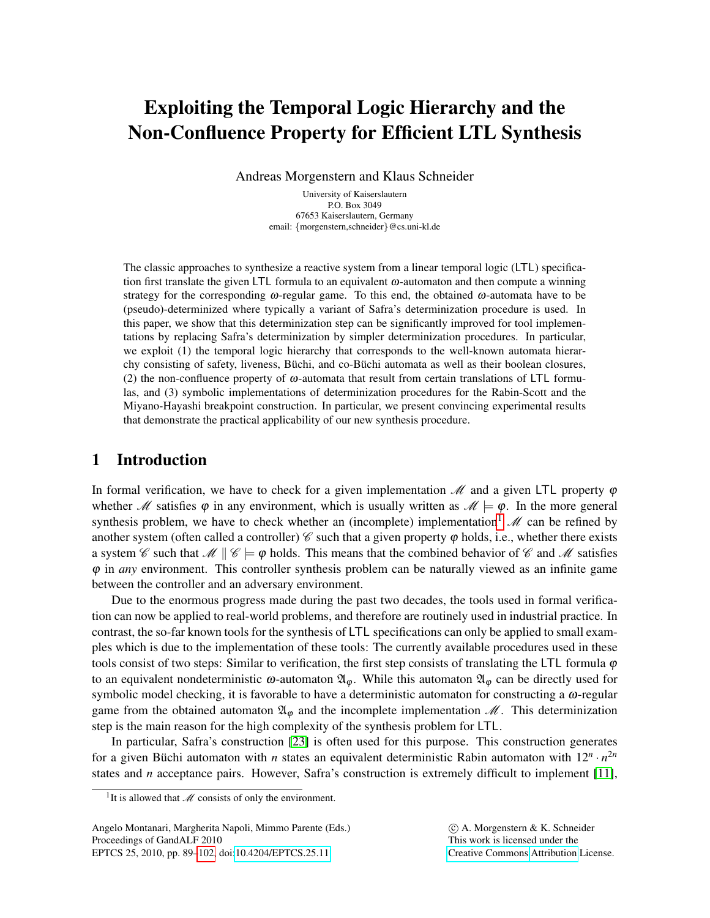# Exploiting the Temporal Logic Hierarchy and the Non-Confluence Property for Efficient LTL Synthesis

Andreas Morgenstern and Klaus Schneider

University of Kaiserslautern P.O. Box 3049 67653 Kaiserslautern, Germany email: {morgenstern,schneider}@cs.uni-kl.de

The classic approaches to synthesize a reactive system from a linear temporal logic (LTL) specification first translate the given LTL formula to an equivalent  $\omega$ -automaton and then compute a winning strategy for the corresponding  $\omega$ -regular game. To this end, the obtained  $\omega$ -automata have to be (pseudo)-determinized where typically a variant of Safra's determinization procedure is used. In this paper, we show that this determinization step can be significantly improved for tool implementations by replacing Safra's determinization by simpler determinization procedures. In particular, we exploit (1) the temporal logic hierarchy that corresponds to the well-known automata hierarchy consisting of safety, liveness, Büchi, and co-Büchi automata as well as their boolean closures, (2) the non-confluence property of  $\omega$ -automata that result from certain translations of LTL formulas, and (3) symbolic implementations of determinization procedures for the Rabin-Scott and the Miyano-Hayashi breakpoint construction. In particular, we present convincing experimental results that demonstrate the practical applicability of our new synthesis procedure.

# <span id="page-0-1"></span>1 Introduction

In formal verification, we have to check for a given implementation  $\mathcal{M}$  and a given LTL property  $\varphi$ whether M satisfies  $\varphi$  in any environment, which is usually written as  $\mathcal{M} \models \varphi$ . In the more general synthesis problem, we have to check whether an (incomplete) implementation  $\mathcal{M}$  can be refined by another system (often called a controller)  $\mathscr C$  such that a given property  $\varphi$  holds, i.e., whether there exists a system C such that  $\mathcal{M} \parallel \mathcal{C} \models \varphi$  holds. This means that the combined behavior of C and M satisfies ϕ in *any* environment. This controller synthesis problem can be naturally viewed as an infinite game between the controller and an adversary environment.

Due to the enormous progress made during the past two decades, the tools used in formal verification can now be applied to real-world problems, and therefore are routinely used in industrial practice. In contrast, the so-far known tools for the synthesis of LTL specifications can only be applied to small examples which is due to the implementation of these tools: The currently available procedures used in these tools consist of two steps: Similar to verification, the first step consists of translating the LTL formula  $\varphi$ to an equivalent nondeterministic  $\omega$ -automaton  $\mathfrak{A}_{\varphi}$ . While this automaton  $\mathfrak{A}_{\varphi}$  can be directly used for symbolic model checking, it is favorable to have a deterministic automaton for constructing a  $\omega$ -regular game from the obtained automaton  $\mathfrak{A}_{\varphi}$  and the incomplete implementation  $\mathcal{M}$ . This determinization step is the main reason for the high complexity of the synthesis problem for LTL.

In particular, Safra's construction [\[23\]](#page-13-1) is often used for this purpose. This construction generates for a given Büchi automaton with *n* states an equivalent deterministic Rabin automaton with  $12^n \cdot n^{2n}$ states and *n* acceptance pairs. However, Safra's construction is extremely difficult to implement [\[11\]](#page-12-0),

Angelo Montanari, Margherita Napoli, Mimmo Parente (Eds.) Proceedings of GandALF 2010 EPTCS 25, 2010, pp. 89[–102,](#page-13-0) doi[:10.4204/EPTCS.25.11](http://dx.doi.org/10.4204/EPTCS.25.11)

 c A. Morgenstern & K. Schneider This work is licensed under the [Creative Commons](http://creativecommons.org) [Attribution](http://creativecommons.org/licenses/by/3.0/) License.

<span id="page-0-0"></span><sup>&</sup>lt;sup>1</sup>It is allowed that  $M$  consists of only the environment.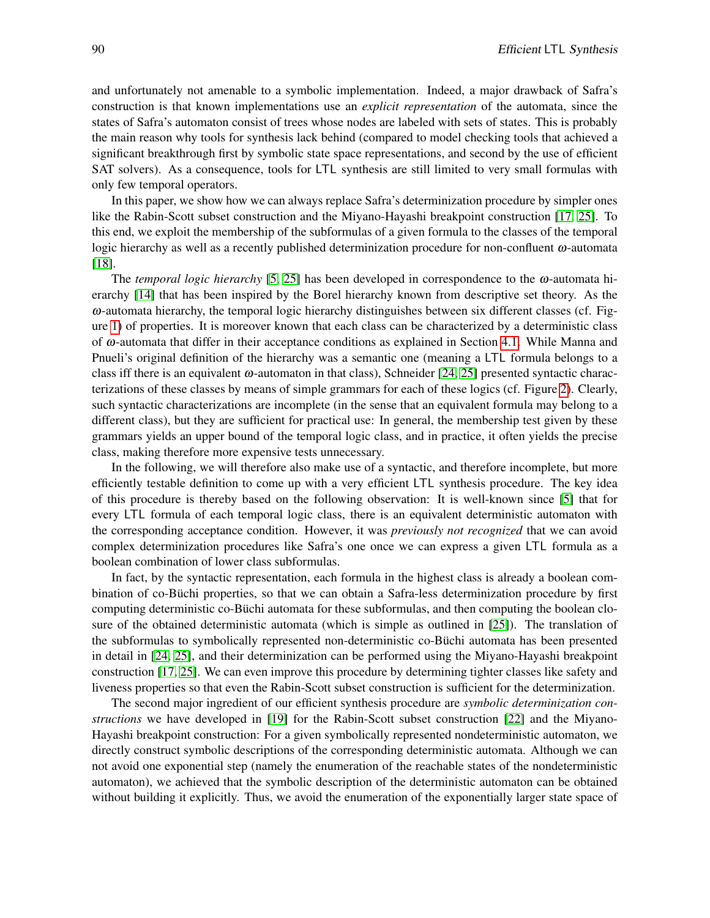and unfortunately not amenable to a symbolic implementation. Indeed, a major drawback of Safra's construction is that known implementations use an *explicit representation* of the automata, since the states of Safra's automaton consist of trees whose nodes are labeled with sets of states. This is probably the main reason why tools for synthesis lack behind (compared to model checking tools that achieved a significant breakthrough first by symbolic state space representations, and second by the use of efficient SAT solvers). As a consequence, tools for LTL synthesis are still limited to very small formulas with only few temporal operators.

In this paper, we show how we can always replace Safra's determinization procedure by simpler ones like the Rabin-Scott subset construction and the Miyano-Hayashi breakpoint construction [\[17,](#page-13-2) [25\]](#page-13-3). To this end, we exploit the membership of the subformulas of a given formula to the classes of the temporal logic hierarchy as well as a recently published determinization procedure for non-confluent  $\omega$ -automata [\[18\]](#page-13-4).

The *temporal logic hierarchy* [\[5,](#page-12-1) [25\]](#page-13-3) has been developed in correspondence to the  $\omega$ -automata hierarchy [\[14\]](#page-12-2) that has been inspired by the Borel hierarchy known from descriptive set theory. As the ω-automata hierarchy, the temporal logic hierarchy distinguishes between six different classes (cf. Figure [1\)](#page-5-0) of properties. It is moreover known that each class can be characterized by a deterministic class of ω-automata that differ in their acceptance conditions as explained in Section [4.1.](#page-4-0) While Manna and Pnueli's original definition of the hierarchy was a semantic one (meaning a LTL formula belongs to a class iff there is an equivalent  $\omega$ -automaton in that class), Schneider [\[24,](#page-13-5) [25\]](#page-13-3) presented syntactic characterizations of these classes by means of simple grammars for each of these logics (cf. Figure [2\)](#page-5-1). Clearly, such syntactic characterizations are incomplete (in the sense that an equivalent formula may belong to a different class), but they are sufficient for practical use: In general, the membership test given by these grammars yields an upper bound of the temporal logic class, and in practice, it often yields the precise class, making therefore more expensive tests unnecessary.

In the following, we will therefore also make use of a syntactic, and therefore incomplete, but more efficiently testable definition to come up with a very efficient LTL synthesis procedure. The key idea of this procedure is thereby based on the following observation: It is well-known since [\[5\]](#page-12-1) that for every LTL formula of each temporal logic class, there is an equivalent deterministic automaton with the corresponding acceptance condition. However, it was *previously not recognized* that we can avoid complex determinization procedures like Safra's one once we can express a given LTL formula as a boolean combination of lower class subformulas.

In fact, by the syntactic representation, each formula in the highest class is already a boolean combination of co-Buchi properties, so that we can obtain a Safra-less determinization procedure by first computing deterministic co-Büchi automata for these subformulas, and then computing the boolean closure of the obtained deterministic automata (which is simple as outlined in [\[25\]](#page-13-3)). The translation of the subformulas to symbolically represented non-deterministic co-Büchi automata has been presented in detail in [\[24,](#page-13-5) [25\]](#page-13-3), and their determinization can be performed using the Miyano-Hayashi breakpoint construction [\[17,](#page-13-2) [25\]](#page-13-3). We can even improve this procedure by determining tighter classes like safety and liveness properties so that even the Rabin-Scott subset construction is sufficient for the determinization.

The second major ingredient of our efficient synthesis procedure are *symbolic determinization constructions* we have developed in [\[19\]](#page-13-6) for the Rabin-Scott subset construction [\[22\]](#page-13-7) and the Miyano-Hayashi breakpoint construction: For a given symbolically represented nondeterministic automaton, we directly construct symbolic descriptions of the corresponding deterministic automata. Although we can not avoid one exponential step (namely the enumeration of the reachable states of the nondeterministic automaton), we achieved that the symbolic description of the deterministic automaton can be obtained without building it explicitly. Thus, we avoid the enumeration of the exponentially larger state space of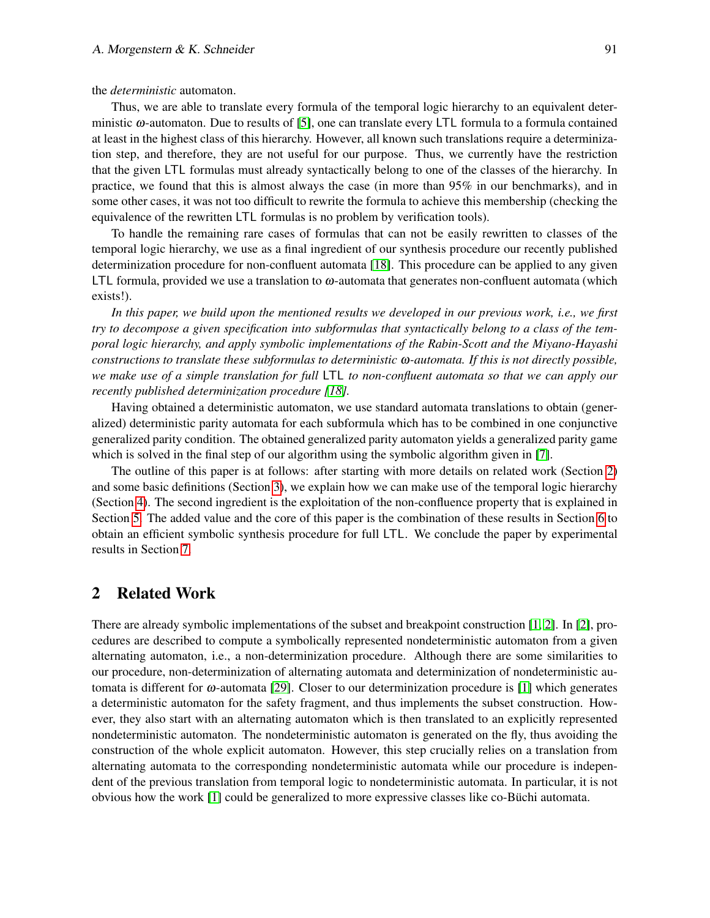the *deterministic* automaton.

Thus, we are able to translate every formula of the temporal logic hierarchy to an equivalent deterministic  $\omega$ -automaton. Due to results of [\[5\]](#page-12-1), one can translate every LTL formula to a formula contained at least in the highest class of this hierarchy. However, all known such translations require a determinization step, and therefore, they are not useful for our purpose. Thus, we currently have the restriction that the given LTL formulas must already syntactically belong to one of the classes of the hierarchy. In practice, we found that this is almost always the case (in more than 95% in our benchmarks), and in some other cases, it was not too difficult to rewrite the formula to achieve this membership (checking the equivalence of the rewritten LTL formulas is no problem by verification tools).

To handle the remaining rare cases of formulas that can not be easily rewritten to classes of the temporal logic hierarchy, we use as a final ingredient of our synthesis procedure our recently published determinization procedure for non-confluent automata [\[18\]](#page-13-4). This procedure can be applied to any given LTL formula, provided we use a translation to ω-automata that generates non-confluent automata (which exists!).

*In this paper, we build upon the mentioned results we developed in our previous work, i.e., we first try to decompose a given specification into subformulas that syntactically belong to a class of the temporal logic hierarchy, and apply symbolic implementations of the Rabin-Scott and the Miyano-Hayashi constructions to translate these subformulas to deterministic* ω*-automata. If this is not directly possible, we make use of a simple translation for full* LTL *to non-confluent automata so that we can apply our recently published determinization procedure [\[18\]](#page-13-4).*

Having obtained a deterministic automaton, we use standard automata translations to obtain (generalized) deterministic parity automata for each subformula which has to be combined in one conjunctive generalized parity condition. The obtained generalized parity automaton yields a generalized parity game which is solved in the final step of our algorithm using the symbolic algorithm given in [\[7\]](#page-12-3).

The outline of this paper is at follows: after starting with more details on related work (Section [2\)](#page-0-1) and some basic definitions (Section [3\)](#page-0-1), we explain how we can make use of the temporal logic hierarchy (Section [4\)](#page-3-0). The second ingredient is the exploitation of the non-confluence property that is explained in Section [5.](#page-5-1) The added value and the core of this paper is the combination of these results in Section [6](#page-8-0) to obtain an efficient symbolic synthesis procedure for full LTL. We conclude the paper by experimental results in Section [7.](#page-8-1)

# 2 Related Work

There are already symbolic implementations of the subset and breakpoint construction [\[1,](#page-12-4) [2\]](#page-12-5). In [\[2\]](#page-12-5), procedures are described to compute a symbolically represented nondeterministic automaton from a given alternating automaton, i.e., a non-determinization procedure. Although there are some similarities to our procedure, non-determinization of alternating automata and determinization of nondeterministic automata is different for ω-automata [\[29\]](#page-13-8). Closer to our determinization procedure is [\[1\]](#page-12-4) which generates a deterministic automaton for the safety fragment, and thus implements the subset construction. However, they also start with an alternating automaton which is then translated to an explicitly represented nondeterministic automaton. The nondeterministic automaton is generated on the fly, thus avoiding the construction of the whole explicit automaton. However, this step crucially relies on a translation from alternating automata to the corresponding nondeterministic automata while our procedure is independent of the previous translation from temporal logic to nondeterministic automata. In particular, it is not obvious how the work [\[1\]](#page-12-4) could be generalized to more expressive classes like co-Buchi automata. ¨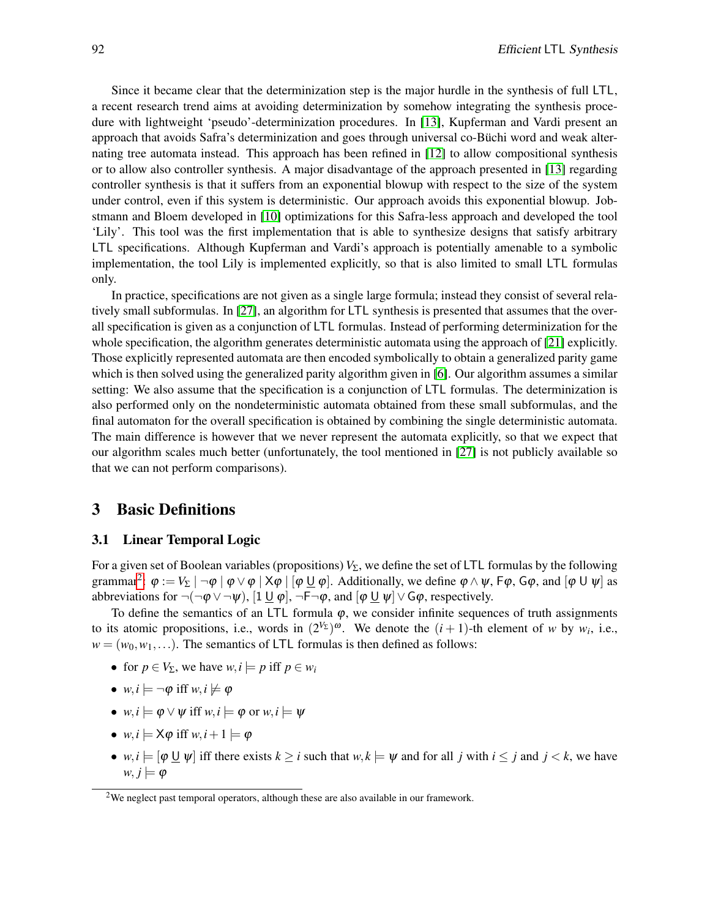Since it became clear that the determinization step is the major hurdle in the synthesis of full LTL, a recent research trend aims at avoiding determinization by somehow integrating the synthesis procedure with lightweight 'pseudo'-determinization procedures. In [\[13\]](#page-12-6), Kupferman and Vardi present an approach that avoids Safra's determinization and goes through universal co-Büchi word and weak alternating tree automata instead. This approach has been refined in [\[12\]](#page-12-7) to allow compositional synthesis or to allow also controller synthesis. A major disadvantage of the approach presented in [\[13\]](#page-12-6) regarding controller synthesis is that it suffers from an exponential blowup with respect to the size of the system under control, even if this system is deterministic. Our approach avoids this exponential blowup. Jobstmann and Bloem developed in [\[10\]](#page-12-8) optimizations for this Safra-less approach and developed the tool 'Lily'. This tool was the first implementation that is able to synthesize designs that satisfy arbitrary LTL specifications. Although Kupferman and Vardi's approach is potentially amenable to a symbolic implementation, the tool Lily is implemented explicitly, so that is also limited to small LTL formulas only.

In practice, specifications are not given as a single large formula; instead they consist of several relatively small subformulas. In [\[27\]](#page-13-9), an algorithm for LTL synthesis is presented that assumes that the overall specification is given as a conjunction of LTL formulas. Instead of performing determinization for the whole specification, the algorithm generates deterministic automata using the approach of [\[21\]](#page-13-10) explicitly. Those explicitly represented automata are then encoded symbolically to obtain a generalized parity game which is then solved using the generalized parity algorithm given in [\[6\]](#page-12-9). Our algorithm assumes a similar setting: We also assume that the specification is a conjunction of LTL formulas. The determinization is also performed only on the nondeterministic automata obtained from these small subformulas, and the final automaton for the overall specification is obtained by combining the single deterministic automata. The main difference is however that we never represent the automata explicitly, so that we expect that our algorithm scales much better (unfortunately, the tool mentioned in [\[27\]](#page-13-9) is not publicly available so that we can not perform comparisons).

### 3 Basic Definitions

#### <span id="page-3-0"></span>3.1 Linear Temporal Logic

For a given set of Boolean variables (propositions)  $V_\Sigma$ , we define the set of LTL formulas by the following grammar<sup>[2](#page-3-1)</sup>:  $\varphi := V_{\Sigma} \mid \neg \varphi \mid \varphi \vee \varphi \mid X\varphi \mid [\varphi \sqcup \varphi]$ . Additionally, we define  $\varphi \wedge \psi$ , F $\varphi$ , G $\varphi$ , and  $[\varphi \cup \psi]$  as abbreviations for  $\neg(\neg \phi \lor \neg \psi)$ ,  $[1 \cup \phi]$ ,  $\neg \vdash \neg \phi$ , and  $[\phi \cup \psi] \lor G\phi$ , respectively.

To define the semantics of an LTL formula  $\varphi$ , we consider infinite sequences of truth assignments to its atomic propositions, i.e., words in  $(2^{V_{\Sigma}})^{\omega}$ . We denote the  $(i + 1)$ -th element of *w* by *w<sub>i</sub>*, i.e.,  $w = (w_0, w_1, \ldots)$ . The semantics of LTL formulas is then defined as follows:

- for  $p \in V_{\Sigma}$ , we have  $w, i \models p$  iff  $p \in w_i$
- $w, i \models \neg \varphi$  iff  $w, i \not\models \varphi$
- $w, i \models \varphi \lor \psi$  iff  $w, i \models \varphi$  or  $w, i \models \psi$
- $w, i \models \mathsf{X}\varphi$  iff  $w, i + 1 \models \varphi$
- *w*,  $i \models [\varphi \sqcup \psi]$  iff there exists  $k \geq i$  such that  $w, k \models \psi$  and for all *j* with  $i \leq j$  and  $j < k$ , we have  $w, j \models \varphi$

<span id="page-3-1"></span><sup>&</sup>lt;sup>2</sup>We neglect past temporal operators, although these are also available in our framework.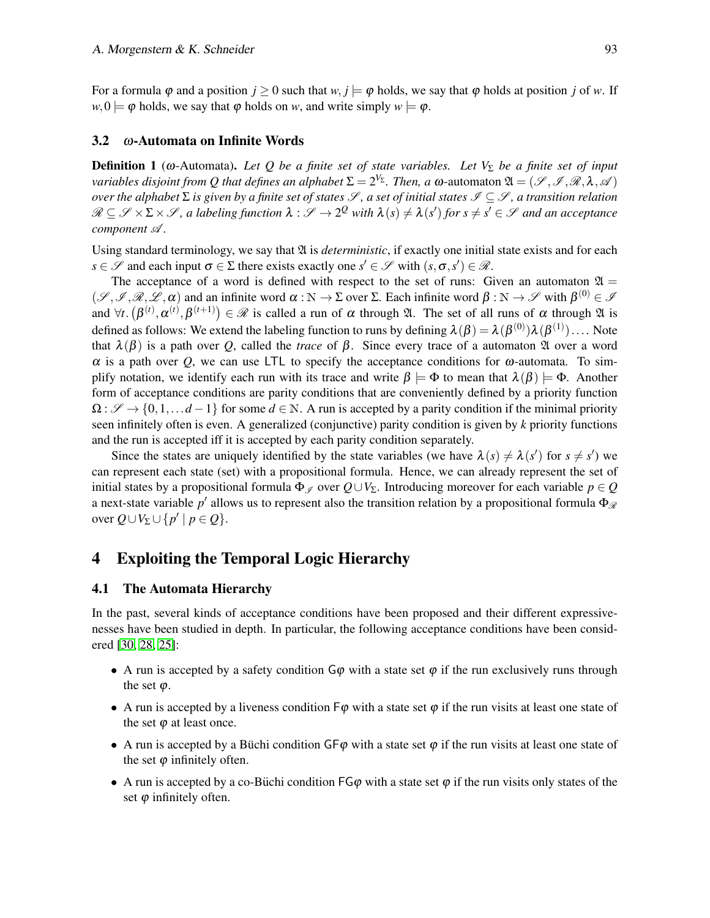For a formula  $\varphi$  and a position  $j > 0$  such that  $w, j \models \varphi$  holds, we say that  $\varphi$  holds at position *j* of *w*. If  $w,0 \models \varphi$  holds, we say that  $\varphi$  holds on *w*, and write simply  $w \models \varphi$ .

### 3.2 ω-Automata on Infinite Words

**Definition 1** (ω-Automata). Let Q be a finite set of state variables. Let V<sub>Σ</sub> be a finite set of input *variables disjoint from*  $Q$  *that defines an alphabet*  $\Sigma=2^{V_\Sigma}.$  *Then, a*  $\omega$ *-automaton*  $\mathfrak{A}=(\mathscr{S},\mathscr{I},\mathscr{R},\lambda,\mathscr{A})$ *over the alphabet* Σ *is given by a finite set of states <i>J*, *a set of initial states J* ⊆ *J*, *a transition relation*  $\mathscr{R} \subseteq \mathscr{S} \times \Sigma \times \mathscr{S}$ , a labeling function  $\lambda: \mathscr{S} \to 2^\mathcal{Q}$  with  $\lambda(s) \neq \lambda(s')$  for  $s \neq s' \in \mathscr{S}$  and an acceptance *component* A *.*

Using standard terminology, we say that  $\mathfrak A$  is *deterministic*, if exactly one initial state exists and for each *s*  $\in \mathcal{S}$  and each input  $\sigma \in \Sigma$  there exists exactly one  $s' \in \mathcal{S}$  with  $(s, \sigma, s') \in \mathcal{R}$ .

The acceptance of a word is defined with respect to the set of runs: Given an automaton  $\mathfrak{A} =$  $(\mathscr{S},\mathscr{I},\mathscr{R},\mathscr{L},\alpha)$  and an infinite word  $\alpha:\mathbb{N}\to\Sigma$  over  $\Sigma$ . Each infinite word  $\beta:\mathbb{N}\to\mathscr{S}$  with  $\beta^{(0)}\in\mathscr{I}$ and  $\forall t$ .  $(\beta^{(t)}, \alpha^{(t)}, \beta^{(t+1)}) \in \mathcal{R}$  is called a run of  $\alpha$  through  $\mathfrak{A}$ . The set of all runs of  $\alpha$  through  $\mathfrak{A}$  is defined as follows: We extend the labeling function to runs by defining  $\lambda(\beta)=\lambda(\beta^{(0)})\lambda(\beta^{(1)})\ldots$  Note that  $\lambda(\beta)$  is a path over *Q*, called the *trace* of  $\beta$ . Since every trace of a automaton  $\mathfrak A$  over a word  $\alpha$  is a path over Q, we can use LTL to specify the acceptance conditions for  $\omega$ -automata. To simplify notation, we identify each run with its trace and write  $\beta \models \Phi$  to mean that  $\lambda(\beta) \models \Phi$ . Another form of acceptance conditions are parity conditions that are conveniently defined by a priority function  $\Omega$ :  $\mathscr{S} \to \{0,1,\ldots d-1\}$  for some  $d \in \mathbb{N}$ . A run is accepted by a parity condition if the minimal priority seen infinitely often is even. A generalized (conjunctive) parity condition is given by *k* priority functions and the run is accepted iff it is accepted by each parity condition separately.

Since the states are uniquely identified by the state variables (we have  $\lambda(s) \neq \lambda(s')$  for  $s \neq s'$ ) we can represent each state (set) with a propositional formula. Hence, we can already represent the set of initial states by a propositional formula  $\Phi$ <sub>*§*</sub> over  $Q \cup V_\Sigma$ . Introducing moreover for each variable  $p \in Q$ a next-state variable  $p'$  allows us to represent also the transition relation by a propositional formula  $\Phi_{\mathscr{R}}$ over  $Q \cup V_{\Sigma} \cup \{p' \mid p \in Q\}.$ 

## 4 Exploiting the Temporal Logic Hierarchy

### 4.1 The Automata Hierarchy

<span id="page-4-0"></span>In the past, several kinds of acceptance conditions have been proposed and their different expressivenesses have been studied in depth. In particular, the following acceptance conditions have been considered [\[30,](#page-13-11) [28,](#page-13-12) [25\]](#page-13-3):

- A run is accepted by a safety condition  $G\varphi$  with a state set  $\varphi$  if the run exclusively runs through the set  $\varphi$ .
- A run is accepted by a liveness condition  $\mathsf{F}\varphi$  with a state set  $\varphi$  if the run visits at least one state of the set  $\varphi$  at least once.
- A run is accepted by a Büchi condition  $GF\varphi$  with a state set  $\varphi$  if the run visits at least one state of the set  $\varphi$  infinitely often.
- A run is accepted by a co-Buchi condition  $FG\varphi$  with a state set  $\varphi$  if the run visits only states of the set  $\varphi$  infinitely often.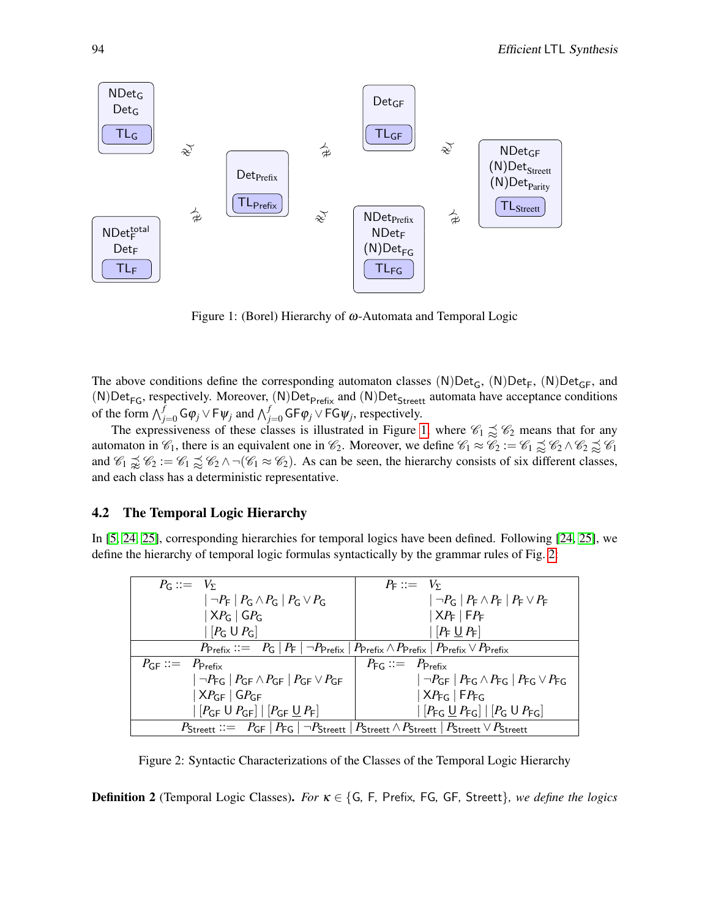

<span id="page-5-0"></span>Figure 1: (Borel) Hierarchy of ω-Automata and Temporal Logic

The above conditions define the corresponding automaton classes  $(N)Det_G$ ,  $(N)Det_F$ ,  $(N)Det_{GF}$ , and (N)Det<sub>FG</sub>, respectively. Moreover, (N)Det<sub>Prefix</sub> and (N)Det<sub>Streett</sub> automata have acceptance conditions of the form  $\bigwedge_{j=0}^{f} \mathsf{G}\varphi_j \vee \mathsf{F}\psi_j$  and  $\bigwedge_{j=0}^{f} \mathsf{G}\mathsf{F}\varphi_j \vee \mathsf{F}\mathsf{G}\psi_j$ , respectively.

The expressiveness of these classes is illustrated in Figure [1,](#page-5-0) where  $\mathcal{C}_1 \precsim \mathcal{C}_2$  means that for any automaton in  $\mathcal{C}_1$ , there is an equivalent one in  $\mathcal{C}_2$ . Moreover, we define  $\mathcal{C}_1 \approx \mathcal{C}_2 := \mathcal{C}_1 \precsim \mathcal{C}_2 \wedge \mathcal{C}_2 \precsim \mathcal{C}_1$ and  $\mathcal{C}_1 \not\supseteq \mathcal{C}_2 := \mathcal{C}_1 \not\supseteq \mathcal{C}_2 \wedge \neg(\mathcal{C}_1 \approx \mathcal{C}_2)$ . As can be seen, the hierarchy consists of six different classes, and each class has a deterministic representative.

#### 4.2 The Temporal Logic Hierarchy

In [\[5,](#page-12-1) [24,](#page-13-5) [25\]](#page-13-3), corresponding hierarchies for temporal logics have been defined. Following [\[24,](#page-13-5) [25\]](#page-13-3), we define the hierarchy of temporal logic formulas syntactically by the grammar rules of Fig. [2:](#page-5-1)

| $P_c ::= V_{\Sigma}$                                                                                                                                                        | $P_{\rm E} ::= V_{\rm y}$                                                                                                                                                              |  |  |  |  |  |
|-----------------------------------------------------------------------------------------------------------------------------------------------------------------------------|----------------------------------------------------------------------------------------------------------------------------------------------------------------------------------------|--|--|--|--|--|
| $ \neg P_{\mathsf{F}} $ $P_{\mathsf{G}} \wedge P_{\mathsf{G}} $ $P_{\mathsf{G}} \vee P_{\mathsf{G}}$                                                                        | $ \neg P_G   P_F \wedge P_F   P_F \vee P_F$                                                                                                                                            |  |  |  |  |  |
| $ XP_G GP_G$                                                                                                                                                                | $ XP_{F} FP_{F}$                                                                                                                                                                       |  |  |  |  |  |
| $\lfloor P_G \cup P_G \rfloor$                                                                                                                                              | $[P_F \cup P_F]$                                                                                                                                                                       |  |  |  |  |  |
| $P_{\text{Prefix}} ::= P_{\text{G}}   P_{\text{F}}   \neg P_{\text{Prefix}}   P_{\text{Prefix}} \wedge P_{\text{Prefix}}   P_{\text{Prefix}} \vee P_{\text{Prefix}}$        |                                                                                                                                                                                        |  |  |  |  |  |
| $P_{\text{GF}} ::= P_{\text{Prefix}}$                                                                                                                                       | $P_{\text{FG}} ::= P_{\text{Prefix}}$                                                                                                                                                  |  |  |  |  |  |
| $ \neg P_{\mathsf{FG}} $ $P_{\mathsf{GF}} \wedge P_{\mathsf{GF}} $ $P_{\mathsf{GF}} \vee P_{\mathsf{GF}}$                                                                   | $ \neg P_{\textsf{GF}}  P_{\textsf{FG}} \wedge P_{\textsf{FG}}   P_{\textsf{FG}} \vee P_{\textsf{FG}}$                                                                                 |  |  |  |  |  |
| $ XP_{GF}$   $GP_{GF}$                                                                                                                                                      | $ XP_{FG} FP_{FG}$                                                                                                                                                                     |  |  |  |  |  |
| $\left[\left[P_{GF} \cup P_{GF}\right] \mid \left[P_{GF} \cup P_{F}\right]\right]$                                                                                          | $\left[\right.\left\lceil P_{\mathsf{FG}}\underbar{\mathsf{U}}\right\rceil P_{\mathsf{FG}}\right]\left[\right.\left\lceil P_{\mathsf{G}}\mathsf{U}\right\rceil P_{\mathsf{FG}}\right]$ |  |  |  |  |  |
| $P_{\text{Streett}} ::= P_{\text{GF}}   P_{\text{FG}}   \neg P_{\text{Streett}}   P_{\text{Streett}} \land P_{\text{Streett}}   P_{\text{Streett}} \lor P_{\text{Streett}}$ |                                                                                                                                                                                        |  |  |  |  |  |

<span id="page-5-1"></span>Figure 2: Syntactic Characterizations of the Classes of the Temporal Logic Hierarchy

Definition 2 (Temporal Logic Classes). *For* κ ∈ {G*,* F*,* Prefix*,* FG*,* GF*,* Streett}*, we define the logics*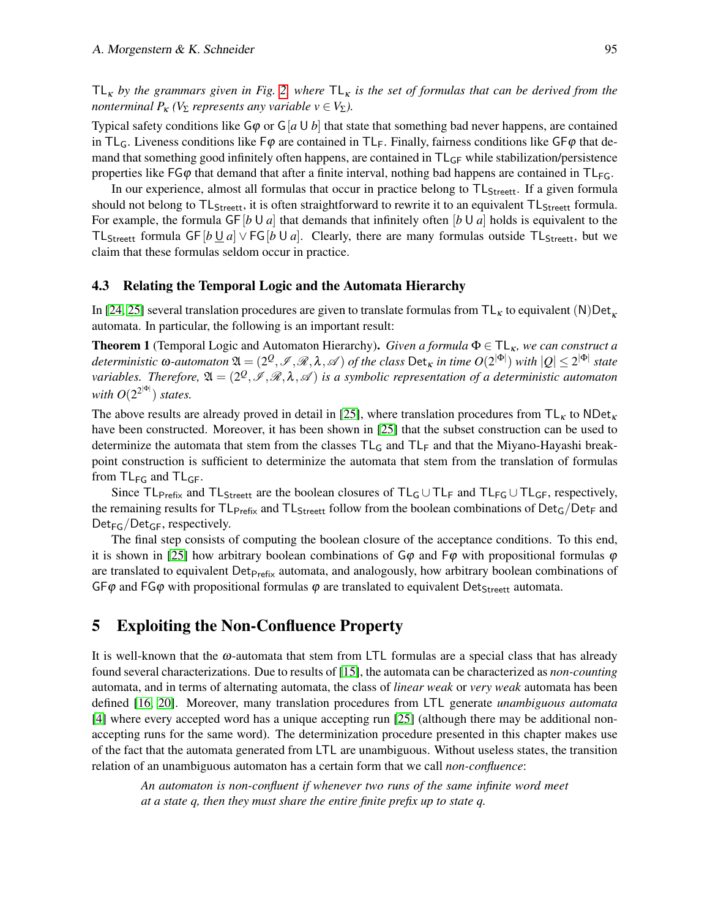$TL<sub>K</sub>$  *by the grammars given in Fig.* [2,](#page-5-1) where  $TL<sub>K</sub>$  *is the set of formulas that can be derived from the nonterminal*  $P_k$  *(V*<sub>Σ</sub> *represents any variable*  $v \in V_\Sigma$ *).* 

Typical safety conditions like  $G\varphi$  or  $G[a \cup b]$  that state that something bad never happens, are contained in TL<sub>G</sub>. Liveness conditions like  $F\varphi$  are contained in TL<sub>F</sub>. Finally, fairness conditions like GF $\varphi$  that demand that something good infinitely often happens, are contained in  $TL_{GF}$  while stabilization/persistence properties like  $FG\varphi$  that demand that after a finite interval, nothing bad happens are contained in  $TL_{FG}$ .

In our experience, almost all formulas that occur in practice belong to  $TL_{Street}$ . If a given formula should not belong to TL<sub>Streett</sub>, it is often straightforward to rewrite it to an equivalent TL<sub>Streett</sub> formula. For example, the formula GF  $\left[b \cup a\right]$  that demands that infinitely often  $\left[b \cup a\right]$  holds is equivalent to the TL<sub>Streett</sub> formula GF [*b* U *a*] ∨ FG [*b* U *a*]. Clearly, there are many formulas outside TL<sub>Streett</sub>, but we claim that these formulas seldom occur in practice.

### 4.3 Relating the Temporal Logic and the Automata Hierarchy

In [\[24,](#page-13-5) [25\]](#page-13-3) several translation procedures are given to translate formulas from  $TL_K$  to equivalent (N)Det<sub>k</sub> automata. In particular, the following is an important result:

**Theorem 1** (Temporal Logic and Automaton Hierarchy). *Given a formula*  $\Phi \in TL_{\kappa}$ , we can construct a  $d$  *deterministic*  $\omega$ *-automaton*  $\mathfrak{A}=(2^Q,\mathscr{I},\mathscr{R},\lambda,\mathscr{A})$  *of the class*  $\mathsf{Det}_\kappa$  *in time*  $O(2^{|\Phi|})$  *with*  $|Q|\leq 2^{|\Phi|}$  *state* variables. Therefore,  $\mathfrak{A}=(2^{\mathcal{Q}},\mathscr{I},\mathscr{R},\lambda,\mathscr{A})$  is a symbolic representation of a deterministic automaton with  $O(2^{2^{|\Phi|}})$  states.

The above results are already proved in detail in [\[25\]](#page-13-3), where translation procedures from  $TL_K$  to NDet<sub>K</sub> have been constructed. Moreover, it has been shown in [\[25\]](#page-13-3) that the subset construction can be used to determinize the automata that stem from the classes  $TL_G$  and  $TL_F$  and that the Miyano-Hayashi breakpoint construction is sufficient to determinize the automata that stem from the translation of formulas from  $TL_{FG}$  and  $TL_{GF}$ .

Since  $TL_{Prefix}$  and  $TL_{Streett}$  are the boolean closures of  $TL_G \cup TL_F$  and  $TL_{FG} \cup TL_{GF}$ , respectively, the remaining results for  $TL_{Prefix}$  and  $TL_{Street}$  follow from the boolean combinations of  $Det_G/Det_F$  and  $Det_{FG}/Det_{GF}$ , respectively.

The final step consists of computing the boolean closure of the acceptance conditions. To this end, it is shown in [\[25\]](#page-13-3) how arbitrary boolean combinations of  $\mathsf{G}\varphi$  and  $\mathsf{F}\varphi$  with propositional formulas  $\varphi$ are translated to equivalent  $Det_{Prefix}$  automata, and analogously, how arbitrary boolean combinations of  $GF\varphi$  and FG $\varphi$  with propositional formulas  $\varphi$  are translated to equivalent Det<sub>Streett</sub> automata.

### 5 Exploiting the Non-Confluence Property

It is well-known that the  $\omega$ -automata that stem from LTL formulas are a special class that has already found several characterizations. Due to results of [\[15\]](#page-12-10), the automata can be characterized as *non-counting* automata, and in terms of alternating automata, the class of *linear weak* or *very weak* automata has been defined [\[16,](#page-13-13) [20\]](#page-13-14). Moreover, many translation procedures from LTL generate *unambiguous automata* [\[4\]](#page-12-11) where every accepted word has a unique accepting run [\[25\]](#page-13-3) (although there may be additional nonaccepting runs for the same word). The determinization procedure presented in this chapter makes use of the fact that the automata generated from LTL are unambiguous. Without useless states, the transition relation of an unambiguous automaton has a certain form that we call *non-confluence*:

*An automaton is non-confluent if whenever two runs of the same infinite word meet at a state q, then they must share the entire finite prefix up to state q.*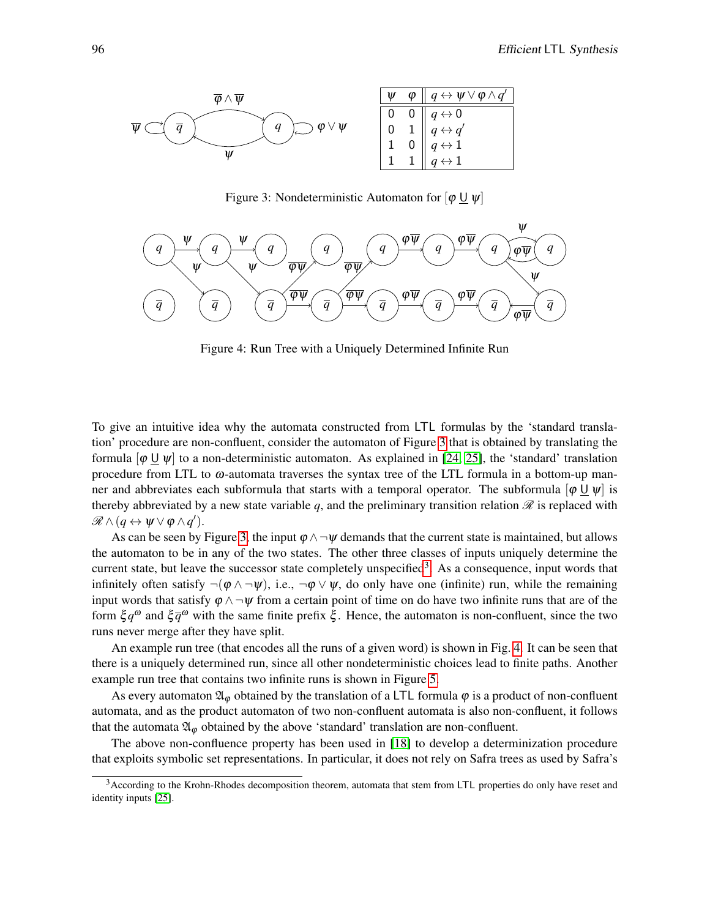

<span id="page-7-0"></span>Figure 3: Nondeterministic Automaton for  $[\varphi \sqcup \psi]$ 



<span id="page-7-2"></span>Figure 4: Run Tree with a Uniquely Determined Infinite Run

To give an intuitive idea why the automata constructed from LTL formulas by the 'standard translation' procedure are non-confluent, consider the automaton of Figure [3](#page-7-0) that is obtained by translating the formula  $\lbrack \varphi \sqcup \psi \rbrack$  to a non-deterministic automaton. As explained in [\[24,](#page-13-5) [25\]](#page-13-3), the 'standard' translation procedure from LTL to  $\omega$ -automata traverses the syntax tree of the LTL formula in a bottom-up manner and abbreviates each subformula that starts with a temporal operator. The subformula  $\phi \cup \psi$  is thereby abbreviated by a new state variable  $q$ , and the preliminary transition relation  $\mathcal R$  is replaced with  $\mathscr{R}\wedge(q\leftrightarrow \psi\vee\phi\wedge q').$ 

As can be seen by Figure [3,](#page-7-0) the input  $\varphi \wedge \neg \psi$  demands that the current state is maintained, but allows the automaton to be in any of the two states. The other three classes of inputs uniquely determine the current state, but leave the successor state completely unspecified<sup>[3](#page-7-1)</sup>. As a consequence, input words that infinitely often satisfy  $\neg(\varphi \wedge \neg \psi)$ , i.e.,  $\neg \varphi \vee \psi$ , do only have one (infinite) run, while the remaining input words that satisfy  $\varphi \wedge \neg \psi$  from a certain point of time on do have two infinite runs that are of the form  $\xi q^{\omega}$  and  $\xi \overline{q}^{\omega}$  with the same finite prefix  $\xi$ . Hence, the automaton is non-confluent, since the two runs never merge after they have split.

An example run tree (that encodes all the runs of a given word) is shown in Fig. [4.](#page-7-2) It can be seen that there is a uniquely determined run, since all other nondeterministic choices lead to finite paths. Another example run tree that contains two infinite runs is shown in Figure [5.](#page-8-0)

As every automaton  $\mathfrak{A}_{\varphi}$  obtained by the translation of a LTL formula  $\varphi$  is a product of non-confluent automata, and as the product automaton of two non-confluent automata is also non-confluent, it follows that the automata  $\mathfrak{A}_{\varphi}$  obtained by the above 'standard' translation are non-confluent.

The above non-confluence property has been used in [\[18\]](#page-13-4) to develop a determinization procedure that exploits symbolic set representations. In particular, it does not rely on Safra trees as used by Safra's

<span id="page-7-1"></span><sup>&</sup>lt;sup>3</sup> According to the Krohn-Rhodes decomposition theorem, automata that stem from LTL properties do only have reset and identity inputs [\[25\]](#page-13-3).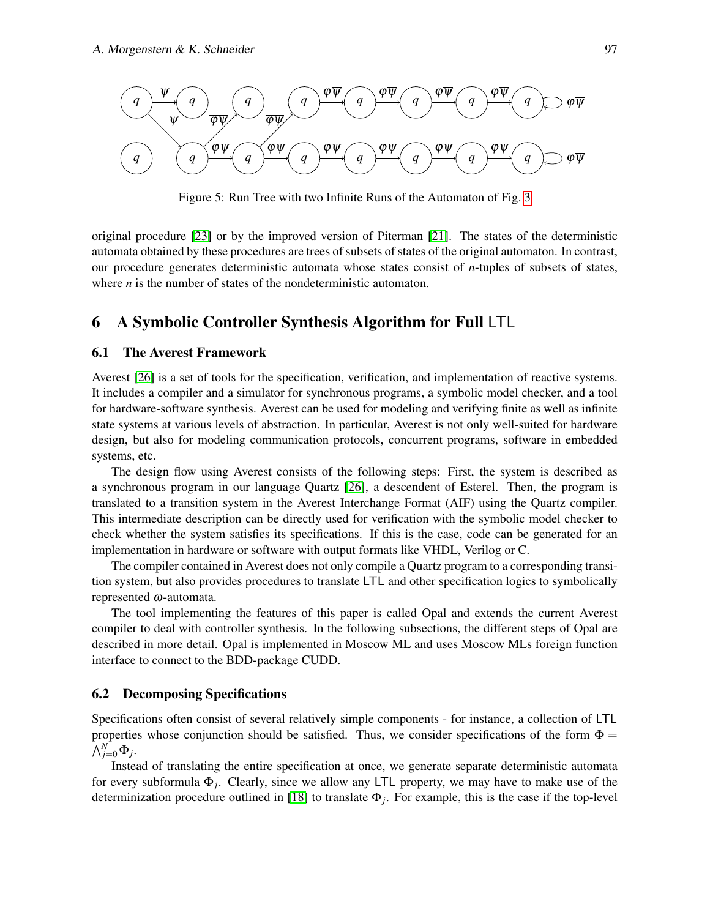

<span id="page-8-0"></span>Figure 5: Run Tree with two Infinite Runs of the Automaton of Fig. [3](#page-7-0)

original procedure [\[23\]](#page-13-1) or by the improved version of Piterman [\[21\]](#page-13-10). The states of the deterministic automata obtained by these procedures are trees of subsets of states of the original automaton. In contrast, our procedure generates deterministic automata whose states consist of *n*-tuples of subsets of states, where *n* is the number of states of the nondeterministic automaton.

### 6 A Symbolic Controller Synthesis Algorithm for Full LTL

### <span id="page-8-1"></span>6.1 The Averest Framework

Averest [\[26\]](#page-13-15) is a set of tools for the specification, verification, and implementation of reactive systems. It includes a compiler and a simulator for synchronous programs, a symbolic model checker, and a tool for hardware-software synthesis. Averest can be used for modeling and verifying finite as well as infinite state systems at various levels of abstraction. In particular, Averest is not only well-suited for hardware design, but also for modeling communication protocols, concurrent programs, software in embedded systems, etc.

The design flow using Averest consists of the following steps: First, the system is described as a synchronous program in our language Quartz [\[26\]](#page-13-15), a descendent of Esterel. Then, the program is translated to a transition system in the Averest Interchange Format (AIF) using the Quartz compiler. This intermediate description can be directly used for verification with the symbolic model checker to check whether the system satisfies its specifications. If this is the case, code can be generated for an implementation in hardware or software with output formats like VHDL, Verilog or C.

The compiler contained in Averest does not only compile a Quartz program to a corresponding transition system, but also provides procedures to translate LTL and other specification logics to symbolically represented  $\omega$ -automata.

The tool implementing the features of this paper is called Opal and extends the current Averest compiler to deal with controller synthesis. In the following subsections, the different steps of Opal are described in more detail. Opal is implemented in Moscow ML and uses Moscow MLs foreign function interface to connect to the BDD-package CUDD.

#### 6.2 Decomposing Specifications

Specifications often consist of several relatively simple components - for instance, a collection of LTL properties whose conjunction should be satisfied. Thus, we consider specifications of the form  $\Phi =$  $\bigwedge_{j=0}^N \Phi_j$ .

Instead of translating the entire specification at once, we generate separate deterministic automata for every subformula Φ*<sup>j</sup>* . Clearly, since we allow any LTL property, we may have to make use of the determinization procedure outlined in [\[18\]](#page-13-4) to translate Φ*<sup>j</sup>* . For example, this is the case if the top-level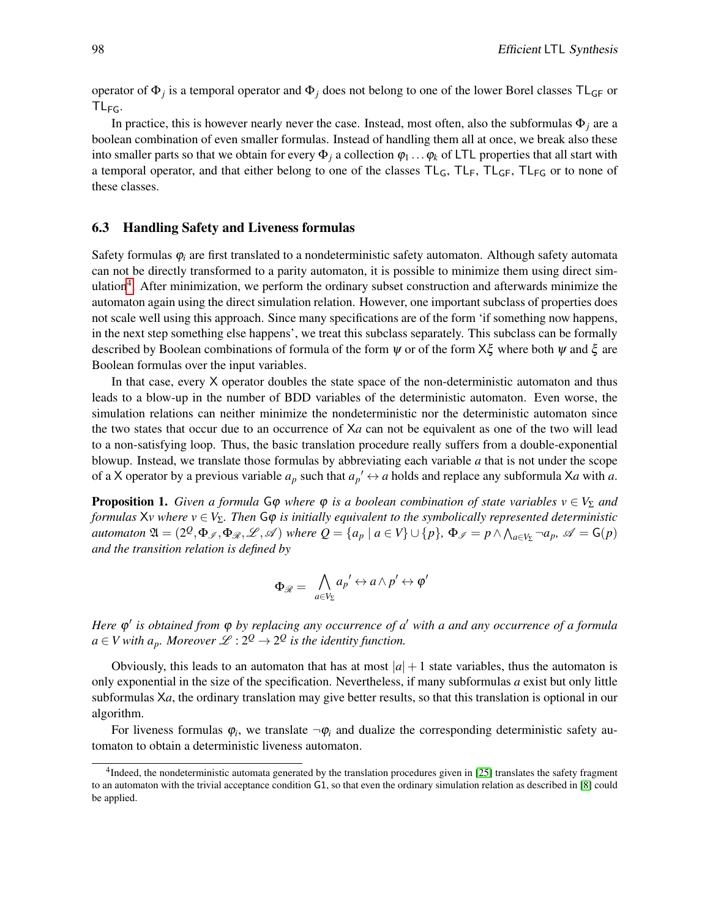operator of Φ*<sup>j</sup>* is a temporal operator and Φ*<sup>j</sup>* does not belong to one of the lower Borel classes TLGF or  $TL_{FG}$ .

In practice, this is however nearly never the case. Instead, most often, also the subformulas  $\Phi_i$  are a boolean combination of even smaller formulas. Instead of handling them all at once, we break also these into smaller parts so that we obtain for every  $\Phi_i$  a collection  $\varphi_1 \dots \varphi_k$  of LTL properties that all start with a temporal operator, and that either belong to one of the classes  $TL<sub>G</sub>$ ,  $TL<sub>F</sub>$ ,  $TL<sub>FG</sub>$  or to none of these classes.

#### 6.3 Handling Safety and Liveness formulas

Safety formulas  $\varphi_i$  are first translated to a nondeterministic safety automaton. Although safety automata can not be directly transformed to a parity automaton, it is possible to minimize them using direct sim-ulation<sup>[4](#page-9-0)</sup>. After minimization, we perform the ordinary subset construction and afterwards minimize the automaton again using the direct simulation relation. However, one important subclass of properties does not scale well using this approach. Since many specifications are of the form 'if something now happens, in the next step something else happens', we treat this subclass separately. This subclass can be formally described by Boolean combinations of formula of the form  $\psi$  or of the form  $X\xi$  where both  $\psi$  and  $\xi$  are Boolean formulas over the input variables.

In that case, every X operator doubles the state space of the non-deterministic automaton and thus leads to a blow-up in the number of BDD variables of the deterministic automaton. Even worse, the simulation relations can neither minimize the nondeterministic nor the deterministic automaton since the two states that occur due to an occurrence of X*a* can not be equivalent as one of the two will lead to a non-satisfying loop. Thus, the basic translation procedure really suffers from a double-exponential blowup. Instead, we translate those formulas by abbreviating each variable *a* that is not under the scope of a X operator by a previous variable  $a_p$  such that  $a_p' \leftrightarrow a$  holds and replace any subformula Xa with a.

**Proposition 1.** *Given a formula*  $G\varphi$  *where*  $\varphi$  *is a boolean combination of state variables*  $v \in V_{\Sigma}$  *and formulas*  $Xv$  *where*  $v \in V_{\Sigma}$ *. Then*  $\mathsf{G}\varphi$  *is initially equivalent to the symbolically represented deterministic*  $a$ utomaton  $\mathfrak{A} = (2^{\mathcal{Q}}, \Phi_{\mathscr{I}}, \Phi_{\mathscr{R}}, \mathscr{L}, \mathscr{A})$  where  $Q = \{a_p \mid a \in V\} \cup \{p\}$ ,  $\Phi_{\mathscr{I}} = p \wedge \bigwedge_{a \in V_{\Sigma}} \neg a_p$ ,  $\mathscr{A} = \mathsf{G}(p)$ *and the transition relation is defined by*

$$
\Phi_{\mathscr{R}} = \bigwedge_{a \in V_{\Sigma}} a_p' \leftrightarrow a \wedge p' \leftrightarrow \varphi'
$$

*Here*  $\varphi'$  *is obtained from*  $\varphi$  *by replacing any occurrence of a' with a and any occurrence of a formula*  $a \in V$  with  $a_p$ *. Moreover*  $L: 2^Q \rightarrow 2^Q$  *is the identity function.* 

Obviously, this leads to an automaton that has at most  $|a|+1$  state variables, thus the automaton is only exponential in the size of the specification. Nevertheless, if many subformulas *a* exist but only little subformulas X*a*, the ordinary translation may give better results, so that this translation is optional in our algorithm.

For liveness formulas  $\varphi_i$ , we translate  $\neg \varphi_i$  and dualize the corresponding deterministic safety automaton to obtain a deterministic liveness automaton.

<span id="page-9-0"></span><sup>&</sup>lt;sup>4</sup>Indeed, the nondeterministic automata generated by the translation procedures given in [\[25\]](#page-13-3) translates the safety fragment to an automaton with the trivial acceptance condition G1, so that even the ordinary simulation relation as described in [\[8\]](#page-12-12) could be applied.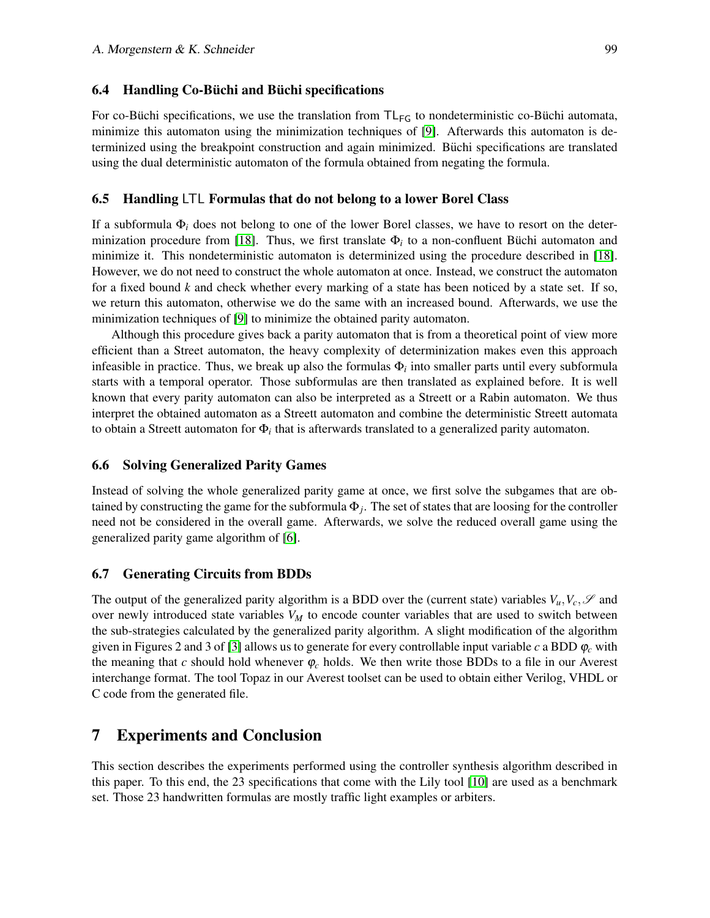#### $6.4$  Handling Co-Büchi and Büchi specifications

For co-Büchi specifications, we use the translation from  $TL_{FG}$  to nondeterministic co-Büchi automata, minimize this automaton using the minimization techniques of [\[9\]](#page-12-13). Afterwards this automaton is determinized using the breakpoint construction and again minimized. Buchi specifications are translated using the dual deterministic automaton of the formula obtained from negating the formula.

#### 6.5 Handling LTL Formulas that do not belong to a lower Borel Class

If a subformula Φ*<sup>i</sup>* does not belong to one of the lower Borel classes, we have to resort on the deter-minization procedure from [\[18\]](#page-13-4). Thus, we first translate  $\Phi_i$  to a non-confluent Büchi automaton and minimize it. This nondeterministic automaton is determinized using the procedure described in [\[18\]](#page-13-4). However, we do not need to construct the whole automaton at once. Instead, we construct the automaton for a fixed bound *k* and check whether every marking of a state has been noticed by a state set. If so, we return this automaton, otherwise we do the same with an increased bound. Afterwards, we use the minimization techniques of [\[9\]](#page-12-13) to minimize the obtained parity automaton.

Although this procedure gives back a parity automaton that is from a theoretical point of view more efficient than a Street automaton, the heavy complexity of determinization makes even this approach infeasible in practice. Thus, we break up also the formulas Φ*<sup>i</sup>* into smaller parts until every subformula starts with a temporal operator. Those subformulas are then translated as explained before. It is well known that every parity automaton can also be interpreted as a Streett or a Rabin automaton. We thus interpret the obtained automaton as a Streett automaton and combine the deterministic Streett automata to obtain a Streett automaton for Φ*<sup>i</sup>* that is afterwards translated to a generalized parity automaton.

#### 6.6 Solving Generalized Parity Games

Instead of solving the whole generalized parity game at once, we first solve the subgames that are obtained by constructing the game for the subformula  $\Phi_j$ . The set of states that are loosing for the controller need not be considered in the overall game. Afterwards, we solve the reduced overall game using the generalized parity game algorithm of [\[6\]](#page-12-9).

#### 6.7 Generating Circuits from BDDs

The output of the generalized parity algorithm is a BDD over the (current state) variables  $V_u, V_c, \mathscr{S}$  and over newly introduced state variables *V<sup>M</sup>* to encode counter variables that are used to switch between the sub-strategies calculated by the generalized parity algorithm. A slight modification of the algorithm given in Figures 2 and 3 of [\[3\]](#page-12-14) allows us to generate for every controllable input variable *c* a BDD  $\varphi_c$  with the meaning that *c* should hold whenever  $\varphi_c$  holds. We then write those BDDs to a file in our Averest interchange format. The tool Topaz in our Averest toolset can be used to obtain either Verilog, VHDL or C code from the generated file.

# 7 Experiments and Conclusion

This section describes the experiments performed using the controller synthesis algorithm described in this paper. To this end, the 23 specifications that come with the Lily tool [\[10\]](#page-12-8) are used as a benchmark set. Those 23 handwritten formulas are mostly traffic light examples or arbiters.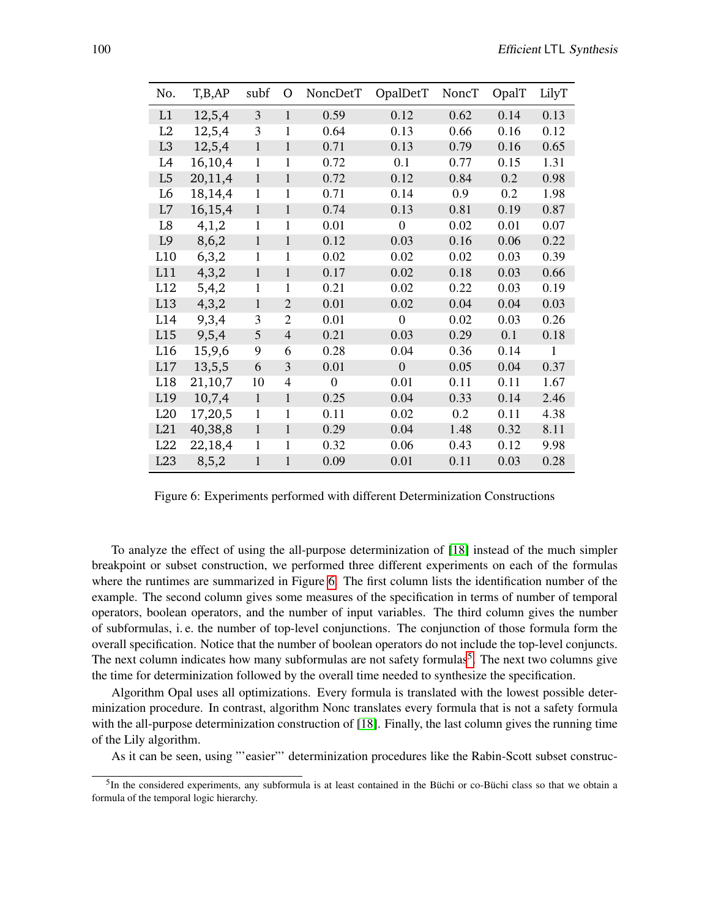| No.            | T,B,AP  | subf         | Ο                        | NoncDetT       | OpalDetT       | NoncT | OpalT | LilyT |
|----------------|---------|--------------|--------------------------|----------------|----------------|-------|-------|-------|
| L1             | 12,5,4  | 3            | $\mathbf{1}$             | 0.59           | 0.12           | 0.62  | 0.14  | 0.13  |
| L2             | 12,5,4  | 3            | 1                        | 0.64           | 0.13           | 0.66  | 0.16  | 0.12  |
| L <sub>3</sub> | 12,5,4  | $\mathbf{1}$ | 1                        | 0.71           | 0.13           | 0.79  | 0.16  | 0.65  |
| L4             | 16,10,4 | $\mathbf{1}$ | 1                        | 0.72           | 0.1            | 0.77  | 0.15  | 1.31  |
| L <sub>5</sub> | 20,11,4 | $\mathbf{1}$ | 1                        | 0.72           | 0.12           | 0.84  | 0.2   | 0.98  |
| L6             | 18,14,4 | $\mathbf{1}$ | 1                        | 0.71           | 0.14           | 0.9   | 0.2   | 1.98  |
| L7             | 16,15,4 | $\mathbf{1}$ | 1                        | 0.74           | 0.13           | 0.81  | 0.19  | 0.87  |
| L8             | 4,1,2   | $\mathbf{1}$ | 1                        | 0.01           | $\overline{0}$ | 0.02  | 0.01  | 0.07  |
| L <sub>9</sub> | 8,6,2   | $\mathbf{1}$ | $\mathbf{1}$             | 0.12           | 0.03           | 0.16  | 0.06  | 0.22  |
| L10            | 6,3,2   | 1            | 1                        | 0.02           | 0.02           | 0.02  | 0.03  | 0.39  |
| L11            | 4,3,2   | $\mathbf{1}$ | $\mathbf{1}$             | 0.17           | 0.02           | 0.18  | 0.03  | 0.66  |
| L12            | 5,4,2   | $\mathbf{1}$ | 1                        | 0.21           | 0.02           | 0.22  | 0.03  | 0.19  |
| L13            | 4,3,2   | $\mathbf{1}$ | $\overline{2}$           | 0.01           | 0.02           | 0.04  | 0.04  | 0.03  |
| L14            | 9,3,4   | 3            | $\overline{2}$           | 0.01           | $\overline{0}$ | 0.02  | 0.03  | 0.26  |
| L15            | 9,5,4   | 5            | 4                        | 0.21           | 0.03           | 0.29  | 0.1   | 0.18  |
| L16            | 15,9,6  | 9            | 6                        | 0.28           | 0.04           | 0.36  | 0.14  | 1     |
| L17            | 13,5,5  | 6            | 3                        | 0.01           | $\overline{0}$ | 0.05  | 0.04  | 0.37  |
| L18            | 21,10,7 | 10           | $\overline{\mathcal{A}}$ | $\overline{0}$ | 0.01           | 0.11  | 0.11  | 1.67  |
| L19            | 10,7,4  | $\mathbf{1}$ | $\mathbf{1}$             | 0.25           | 0.04           | 0.33  | 0.14  | 2.46  |
| L20            | 17,20,5 | $\mathbf{1}$ | 1                        | 0.11           | 0.02           | 0.2   | 0.11  | 4.38  |
| L21            | 40,38,8 | $\mathbf{1}$ | $\mathbf{1}$             | 0.29           | 0.04           | 1.48  | 0.32  | 8.11  |
| L22            | 22,18,4 | $\mathbf{1}$ | 1                        | 0.32           | 0.06           | 0.43  | 0.12  | 9.98  |
| L23            | 8,5,2   | $\mathbf{1}$ | $\mathbf{1}$             | 0.09           | 0.01           | 0.11  | 0.03  | 0.28  |

<span id="page-11-0"></span>Figure 6: Experiments performed with different Determinization Constructions

To analyze the effect of using the all-purpose determinization of [\[18\]](#page-13-4) instead of the much simpler breakpoint or subset construction, we performed three different experiments on each of the formulas where the runtimes are summarized in Figure [6.](#page-11-0) The first column lists the identification number of the example. The second column gives some measures of the specification in terms of number of temporal operators, boolean operators, and the number of input variables. The third column gives the number of subformulas, i. e. the number of top-level conjunctions. The conjunction of those formula form the overall specification. Notice that the number of boolean operators do not include the top-level conjuncts. The next column indicates how many subformulas are not safety formulas<sup>[5](#page-11-1)</sup>. The next two columns give the time for determinization followed by the overall time needed to synthesize the specification.

Algorithm Opal uses all optimizations. Every formula is translated with the lowest possible determinization procedure. In contrast, algorithm Nonc translates every formula that is not a safety formula with the all-purpose determinization construction of [\[18\]](#page-13-4). Finally, the last column gives the running time of the Lily algorithm.

As it can be seen, using "'easier"' determinization procedures like the Rabin-Scott subset construc-

<span id="page-11-1"></span> ${}^{5}$ In the considered experiments, any subformula is at least contained in the Büchi or co-Büchi class so that we obtain a formula of the temporal logic hierarchy.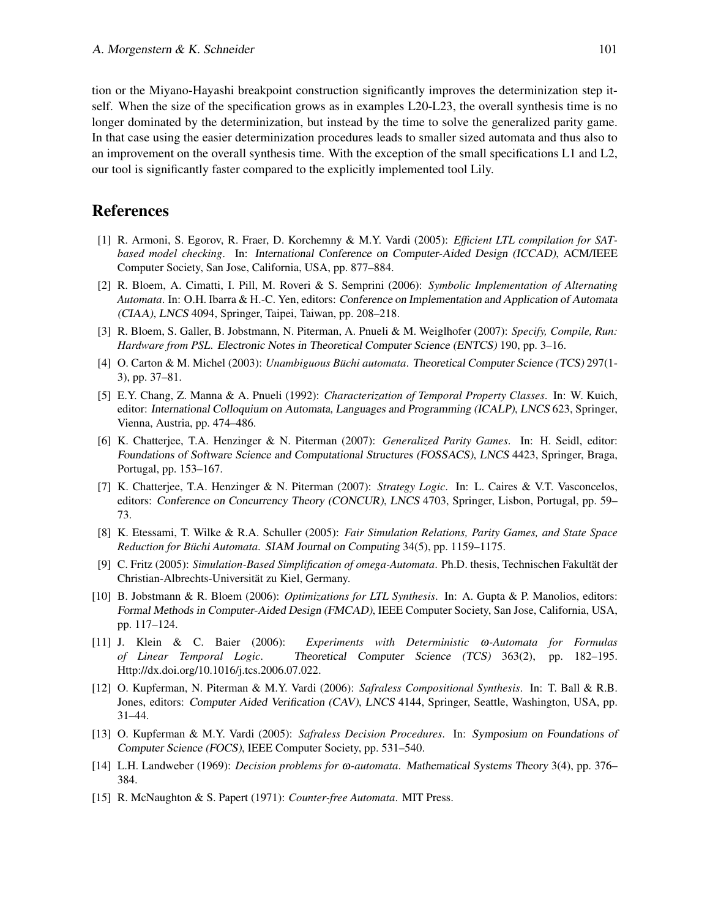tion or the Miyano-Hayashi breakpoint construction significantly improves the determinization step itself. When the size of the specification grows as in examples L20-L23, the overall synthesis time is no longer dominated by the determinization, but instead by the time to solve the generalized parity game. In that case using the easier determinization procedures leads to smaller sized automata and thus also to an improvement on the overall synthesis time. With the exception of the small specifications L1 and L2, our tool is significantly faster compared to the explicitly implemented tool Lily.

# References

- <span id="page-12-4"></span>[1] R. Armoni, S. Egorov, R. Fraer, D. Korchemny & M.Y. Vardi (2005): *Efficient LTL compilation for SATbased model checking*. In: International Conference on Computer-Aided Design (ICCAD), ACM/IEEE Computer Society, San Jose, California, USA, pp. 877–884.
- <span id="page-12-5"></span>[2] R. Bloem, A. Cimatti, I. Pill, M. Roveri & S. Semprini (2006): *Symbolic Implementation of Alternating Automata*. In: O.H. Ibarra & H.-C. Yen, editors: Conference on Implementation and Application of Automata (CIAA), LNCS 4094, Springer, Taipei, Taiwan, pp. 208–218.
- <span id="page-12-14"></span>[3] R. Bloem, S. Galler, B. Jobstmann, N. Piterman, A. Pnueli & M. Weiglhofer (2007): *Specify, Compile, Run: Hardware from PSL*. Electronic Notes in Theoretical Computer Science (ENTCS) 190, pp. 3–16.
- <span id="page-12-11"></span>[4] O. Carton & M. Michel (2003): *Unambiguous Büchi automata*. Theoretical Computer Science (TCS) 297(1-3), pp. 37–81.
- <span id="page-12-1"></span>[5] E.Y. Chang, Z. Manna & A. Pnueli (1992): *Characterization of Temporal Property Classes*. In: W. Kuich, editor: International Colloquium on Automata, Languages and Programming (ICALP), LNCS 623, Springer, Vienna, Austria, pp. 474–486.
- <span id="page-12-9"></span>[6] K. Chatterjee, T.A. Henzinger & N. Piterman (2007): *Generalized Parity Games*. In: H. Seidl, editor: Foundations of Software Science and Computational Structures (FOSSACS), LNCS 4423, Springer, Braga, Portugal, pp. 153–167.
- <span id="page-12-3"></span>[7] K. Chatterjee, T.A. Henzinger & N. Piterman (2007): *Strategy Logic*. In: L. Caires & V.T. Vasconcelos, editors: Conference on Concurrency Theory (CONCUR), LNCS 4703, Springer, Lisbon, Portugal, pp. 59– 73.
- <span id="page-12-12"></span>[8] K. Etessami, T. Wilke & R.A. Schuller (2005): *Fair Simulation Relations, Parity Games, and State Space Reduction for Buchi Automata ¨* . SIAM Journal on Computing 34(5), pp. 1159–1175.
- <span id="page-12-13"></span>[9] C. Fritz (2005): *Simulation-Based Simplification of omega-Automata*. Ph.D. thesis, Technischen Fakultat der ¨ Christian-Albrechts-Universitat zu Kiel, Germany. ¨
- <span id="page-12-8"></span>[10] B. Jobstmann & R. Bloem (2006): *Optimizations for LTL Synthesis*. In: A. Gupta & P. Manolios, editors: Formal Methods in Computer-Aided Design (FMCAD), IEEE Computer Society, San Jose, California, USA, pp. 117–124.
- <span id="page-12-0"></span>[11] J. Klein & C. Baier (2006): *Experiments with Deterministic* ω*-Automata for Formulas of Linear Temporal Logic*. Theoretical Computer Science (TCS) 363(2), pp. 182–195. Http://dx.doi.org/10.1016/j.tcs.2006.07.022.
- <span id="page-12-7"></span>[12] O. Kupferman, N. Piterman & M.Y. Vardi (2006): *Safraless Compositional Synthesis*. In: T. Ball & R.B. Jones, editors: Computer Aided Verification (CAV), LNCS 4144, Springer, Seattle, Washington, USA, pp. 31–44.
- <span id="page-12-6"></span>[13] O. Kupferman & M.Y. Vardi (2005): *Safraless Decision Procedures*. In: Symposium on Foundations of Computer Science (FOCS), IEEE Computer Society, pp. 531–540.
- <span id="page-12-2"></span>[14] L.H. Landweber (1969): *Decision problems for* ω*-automata*. Mathematical Systems Theory 3(4), pp. 376– 384.
- <span id="page-12-10"></span>[15] R. McNaughton & S. Papert (1971): *Counter-free Automata*. MIT Press.